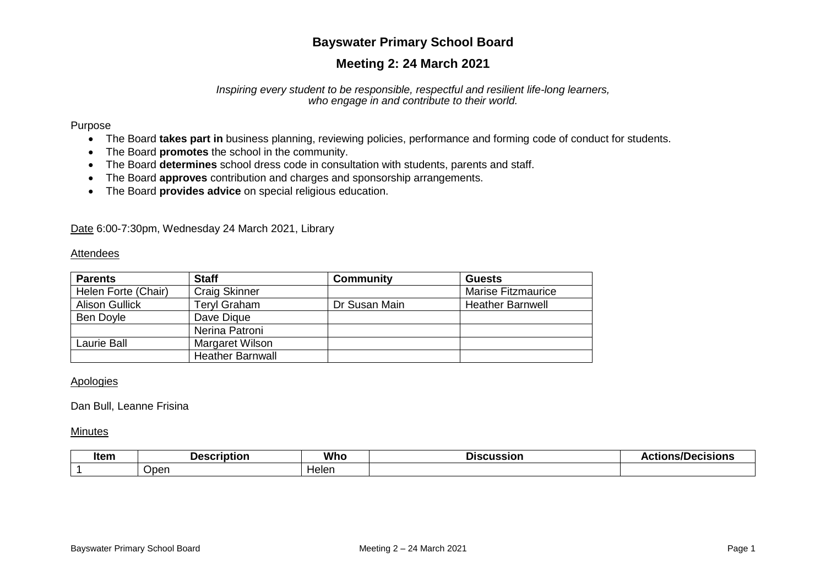# **Bayswater Primary School Board**

# **Meeting 2: 24 March 2021**

#### *Inspiring every student to be responsible, respectful and resilient life-long learners, who engage in and contribute to their world.*

#### Purpose

- The Board **takes part in** business planning, reviewing policies, performance and forming code of conduct for students.
- The Board **promotes** the school in the community.
- The Board **determines** school dress code in consultation with students, parents and staff.
- The Board **approves** contribution and charges and sponsorship arrangements.
- The Board **provides advice** on special religious education.

Date 6:00-7:30pm, Wednesday 24 March 2021, Library

#### **Attendees**

| <b>Parents</b>        | <b>Staff</b>            | <b>Community</b> | <b>Guests</b>             |
|-----------------------|-------------------------|------------------|---------------------------|
| Helen Forte (Chair)   | <b>Craig Skinner</b>    |                  | <b>Marise Fitzmaurice</b> |
| <b>Alison Gullick</b> | Teryl Graham            | Dr Susan Main    | <b>Heather Barnwell</b>   |
| Ben Doyle             | Dave Digue              |                  |                           |
|                       | Nerina Patroni          |                  |                           |
| Laurie Ball           | Margaret Wilson         |                  |                           |
|                       | <b>Heather Barnwall</b> |                  |                           |

### Apologies

### Dan Bull, Leanne Frisina

#### Minutes

| ltem | <u> Jascrintion</u> | <b>Whc</b> | <b>STATE OF BUILDING</b><br>Jiscussion<br>טופ | .<br>.<br>яю<br>. |
|------|---------------------|------------|-----------------------------------------------|-------------------|
|      | Oper                | Helen      |                                               |                   |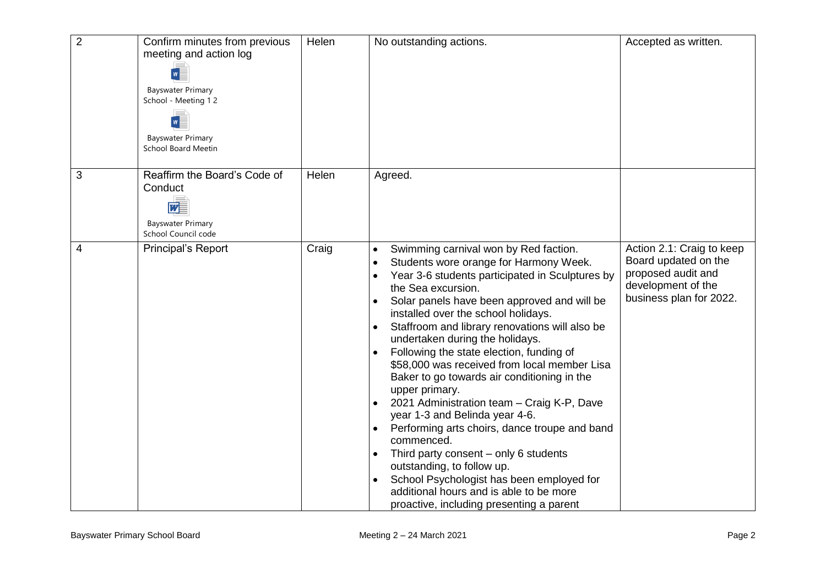| $\overline{2}$ | Confirm minutes from previous<br>meeting and action log<br>$w \equiv$<br><b>Bayswater Primary</b><br>School - Meeting 12<br>$w \equiv$<br><b>Bayswater Primary</b><br><b>School Board Meetin</b> | Helen | No outstanding actions.                                                                                                                                                                                                                                                                                                                                                                                                                                                                                                                                                                                                                                                                                                                                                                                                                                                                                                                  | Accepted as written.                                                                                                     |
|----------------|--------------------------------------------------------------------------------------------------------------------------------------------------------------------------------------------------|-------|------------------------------------------------------------------------------------------------------------------------------------------------------------------------------------------------------------------------------------------------------------------------------------------------------------------------------------------------------------------------------------------------------------------------------------------------------------------------------------------------------------------------------------------------------------------------------------------------------------------------------------------------------------------------------------------------------------------------------------------------------------------------------------------------------------------------------------------------------------------------------------------------------------------------------------------|--------------------------------------------------------------------------------------------------------------------------|
| 3              | Reaffirm the Board's Code of<br>Conduct<br>$\overline{w}$<br><b>Bayswater Primary</b><br>School Council code                                                                                     | Helen | Agreed.                                                                                                                                                                                                                                                                                                                                                                                                                                                                                                                                                                                                                                                                                                                                                                                                                                                                                                                                  |                                                                                                                          |
| 4              | Principal's Report                                                                                                                                                                               | Craig | Swimming carnival won by Red faction.<br>$\bullet$<br>Students wore orange for Harmony Week.<br>$\bullet$<br>Year 3-6 students participated in Sculptures by<br>$\bullet$<br>the Sea excursion.<br>Solar panels have been approved and will be<br>installed over the school holidays.<br>Staffroom and library renovations will also be<br>$\bullet$<br>undertaken during the holidays.<br>Following the state election, funding of<br>$\bullet$<br>\$58,000 was received from local member Lisa<br>Baker to go towards air conditioning in the<br>upper primary.<br>2021 Administration team - Craig K-P, Dave<br>year 1-3 and Belinda year 4-6.<br>Performing arts choirs, dance troupe and band<br>commenced.<br>Third party consent – only 6 students<br>outstanding, to follow up.<br>School Psychologist has been employed for<br>$\bullet$<br>additional hours and is able to be more<br>proactive, including presenting a parent | Action 2.1: Craig to keep<br>Board updated on the<br>proposed audit and<br>development of the<br>business plan for 2022. |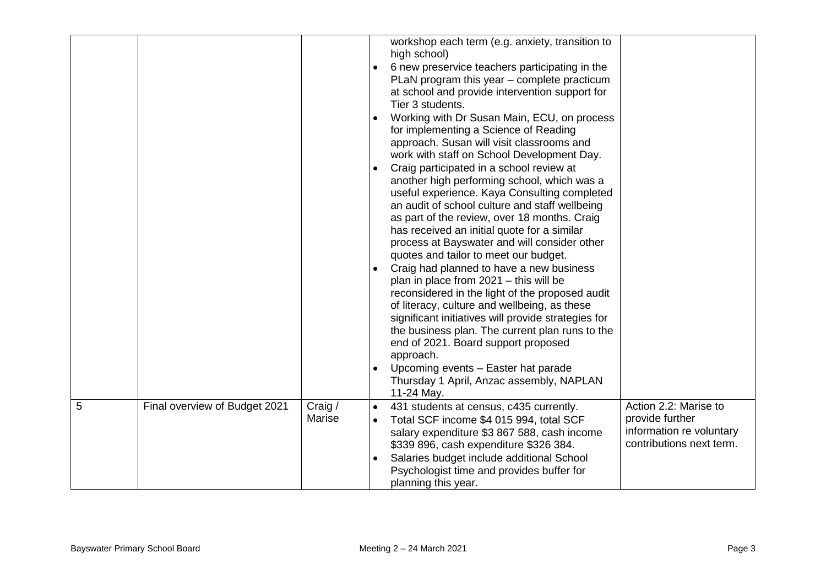|   |                               |                   | workshop each term (e.g. anxiety, transition to<br>high school)<br>6 new preservice teachers participating in the<br>PLaN program this year - complete practicum<br>at school and provide intervention support for<br>Tier 3 students.<br>Working with Dr Susan Main, ECU, on process<br>for implementing a Science of Reading<br>approach. Susan will visit classrooms and<br>work with staff on School Development Day.<br>Craig participated in a school review at<br>another high performing school, which was a<br>useful experience. Kaya Consulting completed<br>an audit of school culture and staff wellbeing<br>as part of the review, over 18 months. Craig<br>has received an initial quote for a similar<br>process at Bayswater and will consider other<br>quotes and tailor to meet our budget.<br>Craig had planned to have a new business<br>plan in place from $2021 -$ this will be<br>reconsidered in the light of the proposed audit<br>of literacy, culture and wellbeing, as these<br>significant initiatives will provide strategies for<br>the business plan. The current plan runs to the<br>end of 2021. Board support proposed<br>approach.<br>Upcoming events - Easter hat parade<br>Thursday 1 April, Anzac assembly, NAPLAN<br>11-24 May. |
|---|-------------------------------|-------------------|--------------------------------------------------------------------------------------------------------------------------------------------------------------------------------------------------------------------------------------------------------------------------------------------------------------------------------------------------------------------------------------------------------------------------------------------------------------------------------------------------------------------------------------------------------------------------------------------------------------------------------------------------------------------------------------------------------------------------------------------------------------------------------------------------------------------------------------------------------------------------------------------------------------------------------------------------------------------------------------------------------------------------------------------------------------------------------------------------------------------------------------------------------------------------------------------------------------------------------------------------------------------------|
| 5 | Final overview of Budget 2021 | Craig /<br>Marise | Action 2.2: Marise to<br>431 students at census, c435 currently.<br>provide further<br>Total SCF income \$4 015 994, total SCF<br>information re voluntary<br>salary expenditure \$3 867 588, cash income<br>contributions next term.<br>\$339 896, cash expenditure \$326 384.                                                                                                                                                                                                                                                                                                                                                                                                                                                                                                                                                                                                                                                                                                                                                                                                                                                                                                                                                                                          |
|   |                               |                   | Salaries budget include additional School<br>Psychologist time and provides buffer for<br>planning this year.                                                                                                                                                                                                                                                                                                                                                                                                                                                                                                                                                                                                                                                                                                                                                                                                                                                                                                                                                                                                                                                                                                                                                            |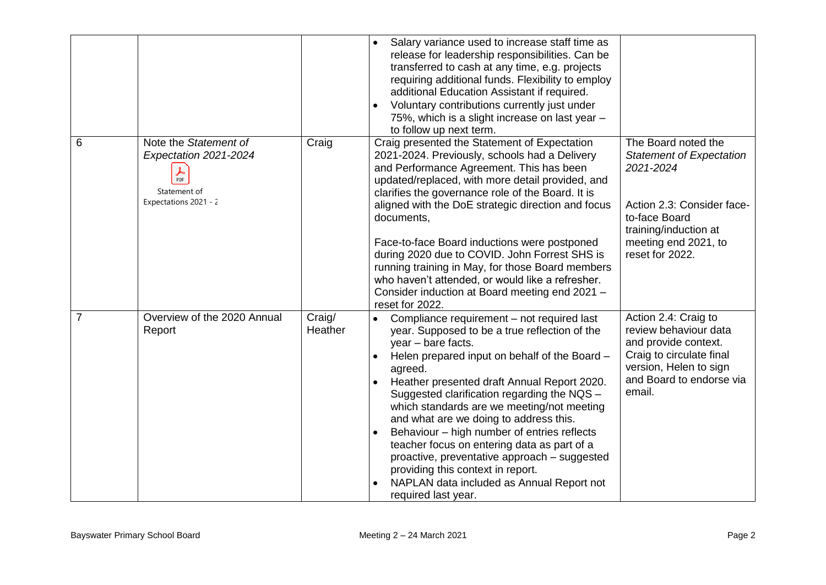|   |                                                                                                                   |                   | Salary variance used to increase staff time as<br>$\bullet$<br>release for leadership responsibilities. Can be<br>transferred to cash at any time, e.g. projects<br>requiring additional funds. Flexibility to employ<br>additional Education Assistant if required.<br>Voluntary contributions currently just under<br>$\bullet$<br>75%, which is a slight increase on last year -<br>to follow up next term.                                                                                                                                                                                                                                                                 |                                                                                                                                                                                        |
|---|-------------------------------------------------------------------------------------------------------------------|-------------------|--------------------------------------------------------------------------------------------------------------------------------------------------------------------------------------------------------------------------------------------------------------------------------------------------------------------------------------------------------------------------------------------------------------------------------------------------------------------------------------------------------------------------------------------------------------------------------------------------------------------------------------------------------------------------------|----------------------------------------------------------------------------------------------------------------------------------------------------------------------------------------|
| 6 | Note the Statement of<br>Expectation 2021-2024<br>$\frac{1}{\text{PDF}}$<br>Statement of<br>Expectations 2021 - 2 | Craig             | Craig presented the Statement of Expectation<br>2021-2024. Previously, schools had a Delivery<br>and Performance Agreement. This has been<br>updated/replaced, with more detail provided, and<br>clarifies the governance role of the Board. It is<br>aligned with the DoE strategic direction and focus<br>documents,<br>Face-to-face Board inductions were postponed<br>during 2020 due to COVID. John Forrest SHS is<br>running training in May, for those Board members<br>who haven't attended, or would like a refresher.<br>Consider induction at Board meeting end 2021 -<br>reset for 2022.                                                                           | The Board noted the<br><b>Statement of Expectation</b><br>2021-2024<br>Action 2.3: Consider face-<br>to-face Board<br>training/induction at<br>meeting end 2021, to<br>reset for 2022. |
| 7 | Overview of the 2020 Annual<br>Report                                                                             | Craig/<br>Heather | Compliance requirement - not required last<br>$\bullet$<br>year. Supposed to be a true reflection of the<br>year - bare facts.<br>Helen prepared input on behalf of the Board -<br>$\bullet$<br>agreed.<br>Heather presented draft Annual Report 2020.<br>$\bullet$<br>Suggested clarification regarding the NQS -<br>which standards are we meeting/not meeting<br>and what are we doing to address this.<br>Behaviour - high number of entries reflects<br>$\bullet$<br>teacher focus on entering data as part of a<br>proactive, preventative approach - suggested<br>providing this context in report.<br>NAPLAN data included as Annual Report not<br>required last year. | Action 2.4: Craig to<br>review behaviour data<br>and provide context.<br>Craig to circulate final<br>version, Helen to sign<br>and Board to endorse via<br>email.                      |